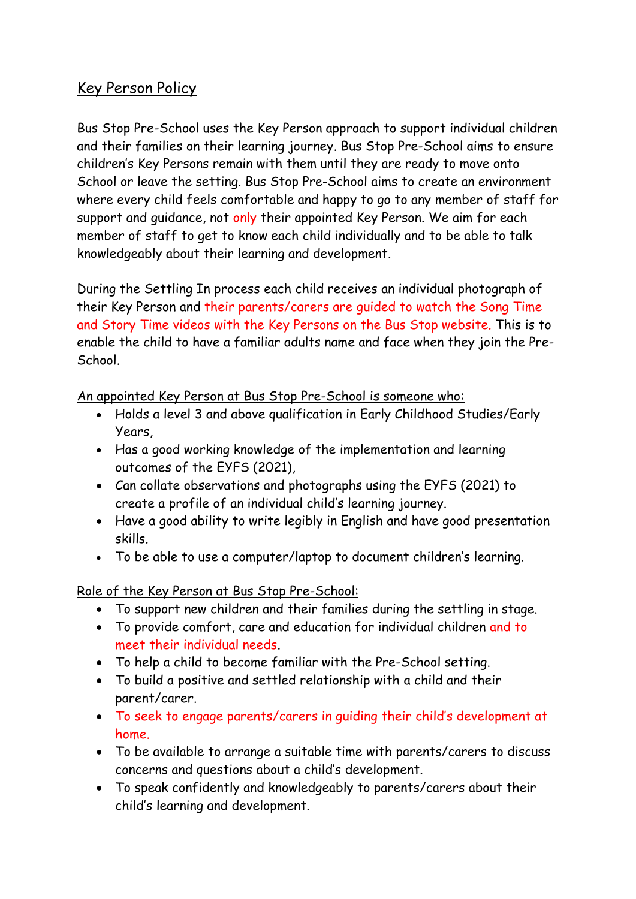## Key Person Policy

Bus Stop Pre-School uses the Key Person approach to support individual children and their families on their learning journey. Bus Stop Pre-School aims to ensure children's Key Persons remain with them until they are ready to move onto School or leave the setting. Bus Stop Pre-School aims to create an environment where every child feels comfortable and happy to go to any member of staff for support and guidance, not only their appointed Key Person. We aim for each member of staff to get to know each child individually and to be able to talk knowledgeably about their learning and development.

During the Settling In process each child receives an individual photograph of their Key Person and their parents/carers are guided to watch the Song Time and Story Time videos with the Key Persons on the Bus Stop website. This is to enable the child to have a familiar adults name and face when they join the Pre-School.

An appointed Key Person at Bus Stop Pre-School is someone who:

- Holds a level 3 and above qualification in Early Childhood Studies/Early Years,
- Has a good working knowledge of the implementation and learning outcomes of the EYFS (2021),
- Can collate observations and photographs using the EYFS (2021) to create a profile of an individual child's learning journey.
- Have a good ability to write legibly in English and have good presentation skills.
- To be able to use a computer/laptop to document children's learning.

## Role of the Key Person at Bus Stop Pre-School:

- To support new children and their families during the settling in stage.
- To provide comfort, care and education for individual children and to meet their individual needs.
- To help a child to become familiar with the Pre-School setting.
- To build a positive and settled relationship with a child and their parent/carer.
- To seek to engage parents/carers in guiding their child's development at home.
- To be available to arrange a suitable time with parents/carers to discuss concerns and questions about a child's development.
- To speak confidently and knowledgeably to parents/carers about their child's learning and development.